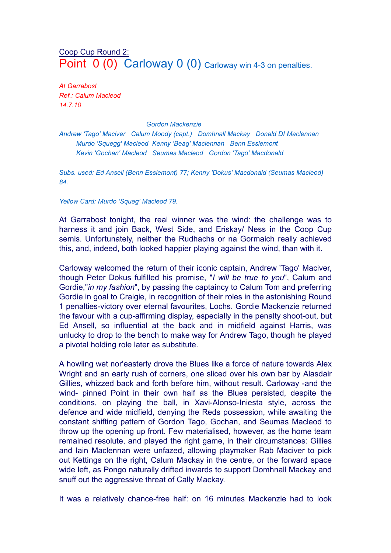## Coop Cup Round 2: Point 0 (0) Carloway 0 (0) Carloway win 4-3 on penalties.

*At Garrabost Ref.: Calum Macleod 14.7.10*

## *Gordon Mackenzie*

*Andrew 'Tago' Maciver Calum Moody (capt.) Domhnall Mackay Donald DI Maclennan Murdo 'Squegg' Macleod Kenny 'Beag' Maclennan Benn Esslemont Kevin 'Gochan' Macleod Seumas Macleod Gordon 'Tago' Macdonald*

*Subs. used: Ed Ansell (Benn Esslemont) 77; Kenny 'Dokus' Macdonald (Seumas Macleod) 84.*

*Yellow Card: Murdo 'Squeg' Macleod 79.*

At Garrabost tonight, the real winner was the wind: the challenge was to harness it and join Back, West Side, and Eriskay/ Ness in the Coop Cup semis. Unfortunately, neither the Rudhachs or na Gormaich really achieved this, and, indeed, both looked happier playing against the wind, than with it.

Carloway welcomed the return of their iconic captain, Andrew 'Tago' Maciver, though Peter Dokus fulfilled his promise, "*I will be true to you*", Calum and Gordie,"*in my fashion*", by passing the captaincy to Calum Tom and preferring Gordie in goal to Craigie, in recognition of their roles in the astonishing Round 1 penalties-victory over eternal favourites, Lochs. Gordie Mackenzie returned the favour with a cup-affirming display, especially in the penalty shoot-out, but Ed Ansell, so influential at the back and in midfield against Harris, was unlucky to drop to the bench to make way for Andrew Tago, though he played a pivotal holding role later as substitute.

A howling wet nor'easterly drove the Blues like a force of nature towards Alex Wright and an early rush of corners, one sliced over his own bar by Alasdair Gillies, whizzed back and forth before him, without result. Carloway -and the wind- pinned Point in their own half as the Blues persisted, despite the conditions, on playing the ball, in Xavi-Alonso-Iniesta style, across the defence and wide midfield, denying the Reds possession, while awaiting the constant shifting pattern of Gordon Tago, Gochan, and Seumas Macleod to throw up the opening up front. Few materialised, however, as the home team remained resolute, and played the right game, in their circumstances: Gillies and Iain Maclennan were unfazed, allowing playmaker Rab Maciver to pick out Kettings on the right, Calum Mackay in the centre, or the forward space wide left, as Pongo naturally drifted inwards to support Domhnall Mackay and snuff out the aggressive threat of Cally Mackay.

It was a relatively chance-free half: on 16 minutes Mackenzie had to look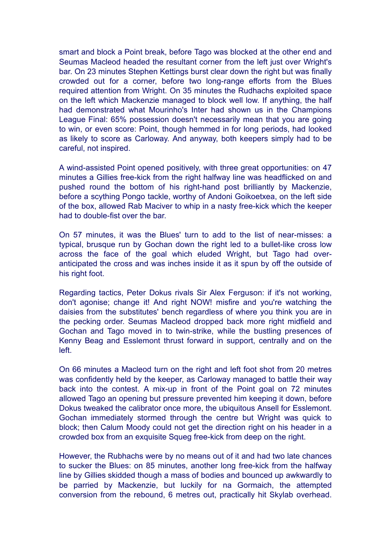smart and block a Point break, before Tago was blocked at the other end and Seumas Macleod headed the resultant corner from the left just over Wright's bar. On 23 minutes Stephen Kettings burst clear down the right but was finally crowded out for a corner, before two long-range efforts from the Blues required attention from Wright. On 35 minutes the Rudhachs exploited space on the left which Mackenzie managed to block well low. If anything, the half had demonstrated what Mourinho's Inter had shown us in the Champions League Final: 65% possession doesn't necessarily mean that you are going to win, or even score: Point, though hemmed in for long periods, had looked as likely to score as Carloway. And anyway, both keepers simply had to be careful, not inspired.

A wind-assisted Point opened positively, with three great opportunities: on 47 minutes a Gillies free-kick from the right halfway line was headflicked on and pushed round the bottom of his right-hand post brilliantly by Mackenzie, before a scything Pongo tackle, worthy of Andoni Goikoetxea, on the left side of the box, allowed Rab Maciver to whip in a nasty free-kick which the keeper had to double-fist over the bar.

On 57 minutes, it was the Blues' turn to add to the list of near-misses: a typical, brusque run by Gochan down the right led to a bullet-like cross low across the face of the goal which eluded Wright, but Tago had overanticipated the cross and was inches inside it as it spun by off the outside of his right foot.

Regarding tactics, Peter Dokus rivals Sir Alex Ferguson: if it's not working, don't agonise; change it! And right NOW! misfire and you're watching the daisies from the substitutes' bench regardless of where you think you are in the pecking order. Seumas Macleod dropped back more right midfield and Gochan and Tago moved in to twin-strike, while the bustling presences of Kenny Beag and Esslemont thrust forward in support, centrally and on the left.

On 66 minutes a Macleod turn on the right and left foot shot from 20 metres was confidently held by the keeper, as Carloway managed to battle their way back into the contest. A mix-up in front of the Point goal on 72 minutes allowed Tago an opening but pressure prevented him keeping it down, before Dokus tweaked the calibrator once more, the ubiquitous Ansell for Esslemont. Gochan immediately stormed through the centre but Wright was quick to block; then Calum Moody could not get the direction right on his header in a crowded box from an exquisite Squeg free-kick from deep on the right.

However, the Rubhachs were by no means out of it and had two late chances to sucker the Blues: on 85 minutes, another long free-kick from the halfway line by Gillies skidded though a mass of bodies and bounced up awkwardly to be parried by Mackenzie, but luckily for na Gormaich, the attempted conversion from the rebound, 6 metres out, practically hit Skylab overhead.